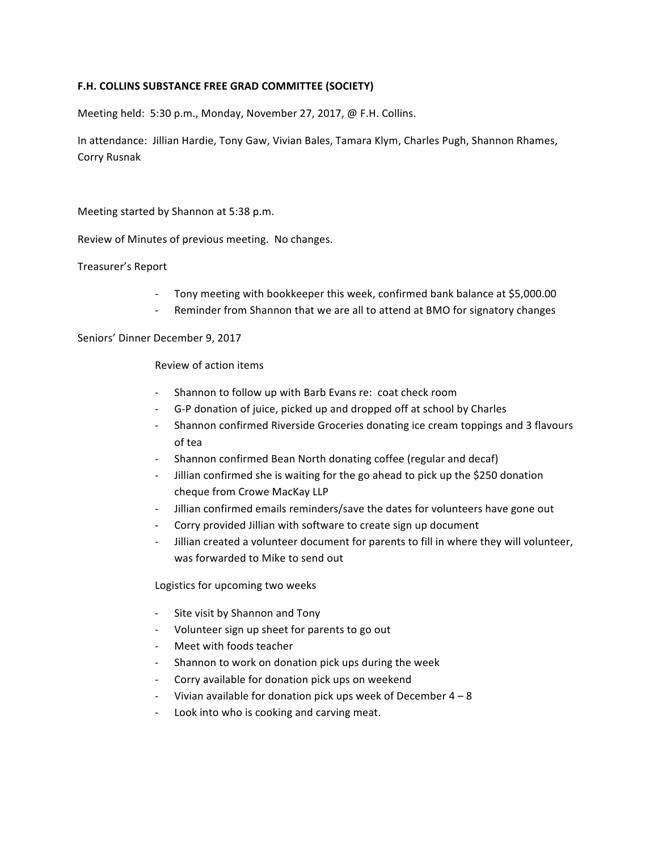## F.H. COLLINS SUBSTANCE FREE GRAD COMMITTEE (SOCIETY)

Meeting held: 5:30 p.m., Monday, November 27, 2017, @ F.H. Collins.

In attendance: Jillian Hardie, Tony Gaw, Vivian Bales, Tamara Klym, Charles Pugh, Shannon Rhames, Corry Rusnak

Meeting started by Shannon at 5:38 p.m.

Review of Minutes of previous meeting. No changes.

Treasurer's Report

- Tony meeting with bookkeeper this week, confirmed bank balance at \$5,000.00
- Reminder from Shannon that we are all to attend at BMO for signatory changes

Seniors' Dinner December 9, 2017

Review of action items

- Shannon to follow up with Barb Evans re: coat check room
- G-P donation of juice, picked up and dropped off at school by Charles
- Shannon confirmed Riverside Groceries donating ice cream toppings and 3 flavours of tea
- Shannon confirmed Bean North donating coffee (regular and decaf)
- Jillian confirmed she is waiting for the go ahead to pick up the \$250 donation cheque from Crowe MacKay LLP
- Jillian confirmed emails reminders/save the dates for volunteers have gone out
- Corry provided Jillian with software to create sign up document
- Jillian created a volunteer document for parents to fill in where they will volunteer, was forwarded to Mike to send out

Logistics for upcoming two weeks

- Site visit by Shannon and Tony
- Volunteer sign up sheet for parents to go out
- Meet with foods teacher
- Shannon to work on donation pick ups during the week
- Corry available for donation pick ups on weekend
- Vivian available for donation pick ups week of December  $4 8$
- Look into who is cooking and carving meat.